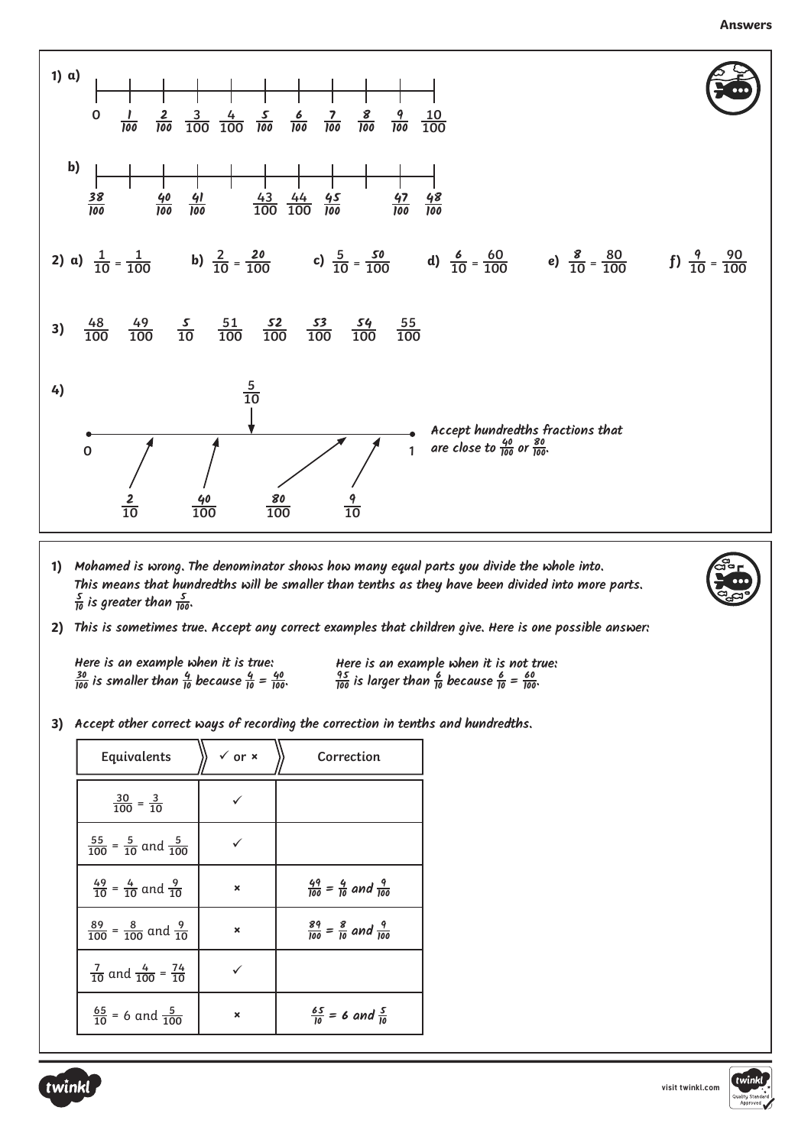

**1) Mohamed is wrong. The denominator shows how many equal parts you divide the whole into. This means that hundredths will be smaller than tenths as they have been divided into more parts.**   $\frac{5}{10}$  is greater than  $\frac{5}{100}$ .

**2) This is sometimes true. Accept any correct examples that children give. Here is one possible answer:**

**Here is an example when it is true:**  $\frac{30}{100}$  is smaller than  $\frac{4}{10}$  because  $\frac{4}{10} = \frac{40}{100}$ .

Here is an example when it is not true:<br> $\frac{95}{100}$  is larger than  $\frac{6}{10}$  because  $\frac{6}{10} = \frac{60}{100}$ .

**3) Accept other correct ways of recording the correction in tenths and hundredths.**

| Equivalents                                           | $\checkmark$ or $\checkmark$ | Correction                                          |
|-------------------------------------------------------|------------------------------|-----------------------------------------------------|
| $\frac{30}{100} = \frac{3}{10}$                       |                              |                                                     |
| $\frac{55}{100}$ = $\frac{5}{10}$ and $\frac{5}{100}$ |                              |                                                     |
| $\frac{49}{10}$ = $\frac{4}{10}$ and $\frac{9}{10}$   | ×                            | $\frac{49}{100} = \frac{4}{10}$ and $\frac{9}{100}$ |
| $\frac{89}{100}$ = $\frac{8}{100}$ and $\frac{9}{10}$ | $\boldsymbol{\mathsf{x}}$    | $\frac{89}{100} = \frac{8}{10}$ and $\frac{9}{100}$ |
| $\frac{7}{10}$ and $\frac{4}{100}$ = $\frac{74}{10}$  |                              |                                                     |
| $\frac{65}{10}$ = 6 and $\frac{5}{100}$               | $\boldsymbol{\mathsf{x}}$    | $\frac{65}{10}$ = 6 and $\frac{5}{10}$              |